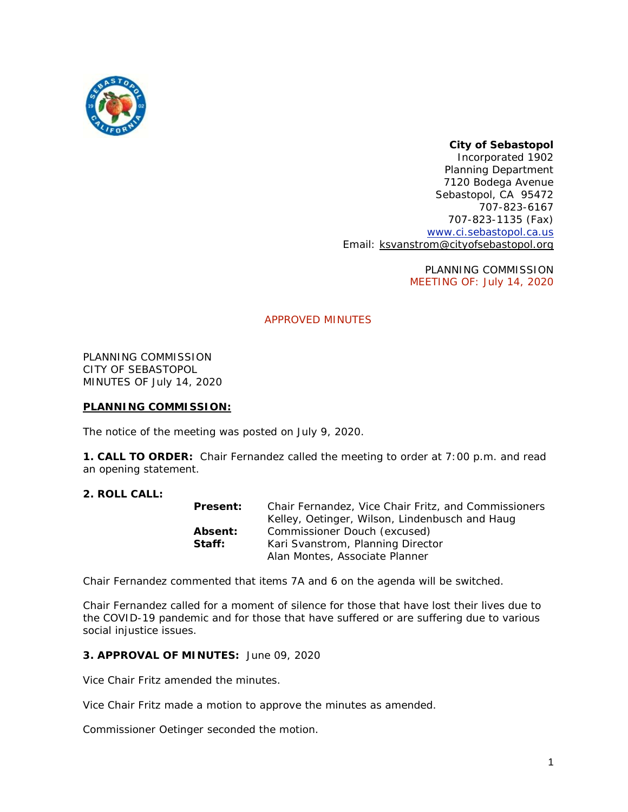

# *City of Sebastopol*

*Incorporated 1902* Planning Department 7120 Bodega Avenue Sebastopol, CA 95472 707-823-6167 707-823-1135 (Fax) [www.ci.sebastopol.ca.us](http://www.ci.sebastopol.ca.us/) Email: [ksvanstrom@cityofsebastopol.org](mailto:ksvanstrom@cityofsebastopol.org)

> PLANNING COMMISSION MEETING OF: July 14, 2020

# APPROVED MINUTES

PLANNING COMMISSION CITY OF SEBASTOPOL MINUTES OF July 14, 2020

### **PLANNING COMMISSION:**

The notice of the meeting was posted on July 9, 2020.

**1. CALL TO ORDER:** Chair Fernandez called the meeting to order at 7:00 p.m. and read an opening statement.

# **2. ROLL CALL:**

| Present:       | Chair Fernandez. Vice Chair Fritz, and Commissioners |
|----------------|------------------------------------------------------|
|                | Kelley, Oetinger, Wilson, Lindenbusch and Haug       |
| <b>Absent:</b> | Commissioner Douch (excused)                         |
| Staff:         | Kari Svanstrom, Planning Director                    |
|                | Alan Montes, Associate Planner                       |

Chair Fernandez commented that items 7A and 6 on the agenda will be switched.

Chair Fernandez called for a moment of silence for those that have lost their lives due to the COVID-19 pandemic and for those that have suffered or are suffering due to various social injustice issues.

#### **3. APPROVAL OF MINUTES:** June 09, 2020

Vice Chair Fritz amended the minutes.

Vice Chair Fritz made a motion to approve the minutes as amended.

Commissioner Oetinger seconded the motion.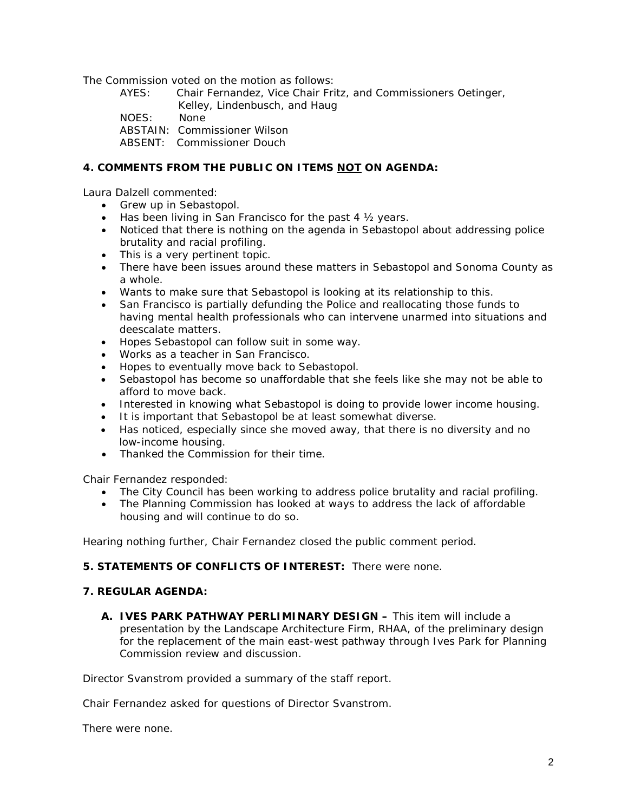The Commission voted on the motion as follows:

- AYES: Chair Fernandez, Vice Chair Fritz, and Commissioners Oetinger, Kelley, Lindenbusch, and Haug
- NOES: None
- ABSTAIN: Commissioner Wilson
- ABSENT: Commissioner Douch

# **4. COMMENTS FROM THE PUBLIC ON ITEMS NOT ON AGENDA:**

Laura Dalzell commented:

- Grew up in Sebastopol.
- Has been living in San Francisco for the past 4  $\frac{1}{2}$  years.
- Noticed that there is nothing on the agenda in Sebastopol about addressing police brutality and racial profiling.
- This is a very pertinent topic.
- There have been issues around these matters in Sebastopol and Sonoma County as a whole.
- Wants to make sure that Sebastopol is looking at its relationship to this.
- San Francisco is partially defunding the Police and reallocating those funds to having mental health professionals who can intervene unarmed into situations and deescalate matters.
- Hopes Sebastopol can follow suit in some way.
- Works as a teacher in San Francisco.
- Hopes to eventually move back to Sebastopol.
- Sebastopol has become so unaffordable that she feels like she may not be able to afford to move back.
- Interested in knowing what Sebastopol is doing to provide lower income housing.
- It is important that Sebastopol be at least somewhat diverse.
- Has noticed, especially since she moved away, that there is no diversity and no low-income housing.
- Thanked the Commission for their time.

Chair Fernandez responded:

- The City Council has been working to address police brutality and racial profiling.
- The Planning Commission has looked at ways to address the lack of affordable housing and will continue to do so.

Hearing nothing further, Chair Fernandez closed the public comment period.

# **5. STATEMENTS OF CONFLICTS OF INTEREST:** There were none.

### **7. REGULAR AGENDA:**

**A. IVES PARK PATHWAY PERLIMINARY DESIGN –** This item will include a presentation by the Landscape Architecture Firm, RHAA, of the preliminary design for the replacement of the main east-west pathway through Ives Park for Planning Commission review and discussion.

Director Svanstrom provided a summary of the staff report.

Chair Fernandez asked for questions of Director Svanstrom.

There were none.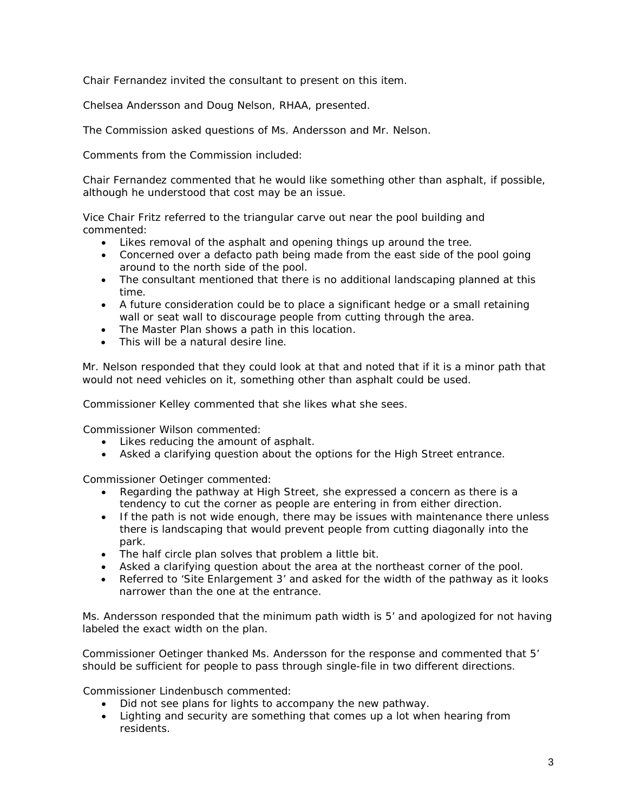Chair Fernandez invited the consultant to present on this item.

Chelsea Andersson and Doug Nelson, RHAA, presented.

The Commission asked questions of Ms. Andersson and Mr. Nelson.

Comments from the Commission included:

Chair Fernandez commented that he would like something other than asphalt, if possible, although he understood that cost may be an issue.

Vice Chair Fritz referred to the triangular carve out near the pool building and commented:

- Likes removal of the asphalt and opening things up around the tree.
- Concerned over a defacto path being made from the east side of the pool going around to the north side of the pool.
- The consultant mentioned that there is no additional landscaping planned at this time.
- A future consideration could be to place a significant hedge or a small retaining wall or seat wall to discourage people from cutting through the area.
- The Master Plan shows a path in this location.
- This will be a natural desire line.

Mr. Nelson responded that they could look at that and noted that if it is a minor path that would not need vehicles on it, something other than asphalt could be used.

Commissioner Kelley commented that she likes what she sees.

Commissioner Wilson commented:

- Likes reducing the amount of asphalt.
- Asked a clarifying question about the options for the High Street entrance.

Commissioner Oetinger commented:

- Regarding the pathway at High Street, she expressed a concern as there is a tendency to cut the corner as people are entering in from either direction.
- If the path is not wide enough, there may be issues with maintenance there unless there is landscaping that would prevent people from cutting diagonally into the park.
- The half circle plan solves that problem a little bit.
- Asked a clarifying question about the area at the northeast corner of the pool.
- Referred to 'Site Enlargement 3' and asked for the width of the pathway as it looks narrower than the one at the entrance.

Ms. Andersson responded that the minimum path width is 5' and apologized for not having labeled the exact width on the plan.

Commissioner Oetinger thanked Ms. Andersson for the response and commented that 5' should be sufficient for people to pass through single-file in two different directions.

Commissioner Lindenbusch commented:

- Did not see plans for lights to accompany the new pathway.
- Lighting and security are something that comes up a lot when hearing from residents.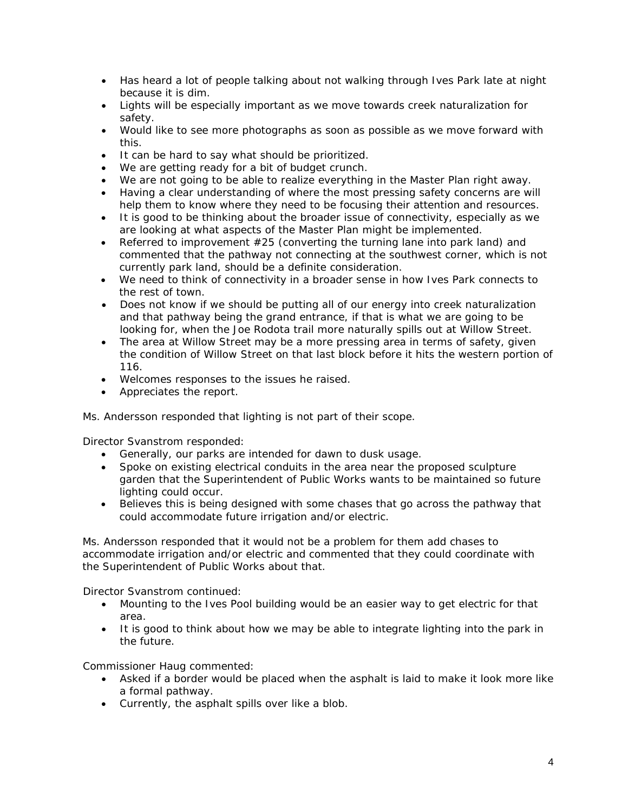- Has heard a lot of people talking about not walking through Ives Park late at night because it is dim.
- Lights will be especially important as we move towards creek naturalization for safety.
- Would like to see more photographs as soon as possible as we move forward with this.
- It can be hard to say what should be prioritized.
- We are getting ready for a bit of budget crunch.
- We are not going to be able to realize everything in the Master Plan right away.
- Having a clear understanding of where the most pressing safety concerns are will help them to know where they need to be focusing their attention and resources.
- It is good to be thinking about the broader issue of connectivity, especially as we are looking at what aspects of the Master Plan might be implemented.
- Referred to improvement #25 (converting the turning lane into park land) and commented that the pathway not connecting at the southwest corner, which is not currently park land, should be a definite consideration.
- We need to think of connectivity in a broader sense in how Ives Park connects to the rest of town.
- Does not know if we should be putting all of our energy into creek naturalization and that pathway being the grand entrance, if that is what we are going to be looking for, when the Joe Rodota trail more naturally spills out at Willow Street.
- The area at Willow Street may be a more pressing area in terms of safety, given the condition of Willow Street on that last block before it hits the western portion of 116.
- Welcomes responses to the issues he raised.
- Appreciates the report.

Ms. Andersson responded that lighting is not part of their scope.

Director Svanstrom responded:

- Generally, our parks are intended for dawn to dusk usage.
- Spoke on existing electrical conduits in the area near the proposed sculpture garden that the Superintendent of Public Works wants to be maintained so future lighting could occur.
- Believes this is being designed with some chases that go across the pathway that could accommodate future irrigation and/or electric.

Ms. Andersson responded that it would not be a problem for them add chases to accommodate irrigation and/or electric and commented that they could coordinate with the Superintendent of Public Works about that.

Director Svanstrom continued:

- Mounting to the Ives Pool building would be an easier way to get electric for that area.
- It is good to think about how we may be able to integrate lighting into the park in the future.

Commissioner Haug commented:

- Asked if a border would be placed when the asphalt is laid to make it look more like a formal pathway.
- Currently, the asphalt spills over like a blob.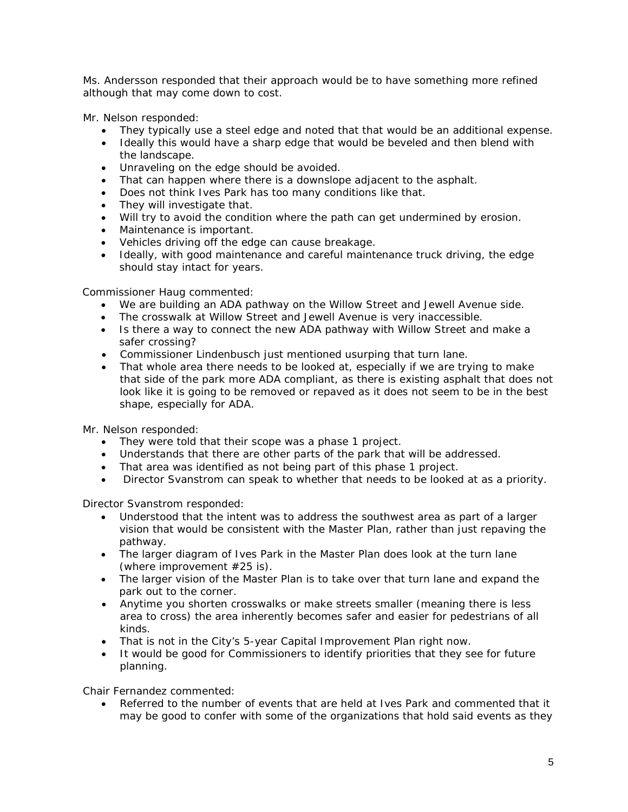Ms. Andersson responded that their approach would be to have something more refined although that may come down to cost.

Mr. Nelson responded:

- They typically use a steel edge and noted that that would be an additional expense.
- Ideally this would have a sharp edge that would be beveled and then blend with the landscape.
- Unraveling on the edge should be avoided.
- That can happen where there is a downslope adjacent to the asphalt.
- Does not think Ives Park has too many conditions like that.
- They will investigate that.
- Will try to avoid the condition where the path can get undermined by erosion.
- Maintenance is important.
- Vehicles driving off the edge can cause breakage.
- Ideally, with good maintenance and careful maintenance truck driving, the edge should stay intact for years.

Commissioner Haug commented:

- We are building an ADA pathway on the Willow Street and Jewell Avenue side.
- The crosswalk at Willow Street and Jewell Avenue is very inaccessible.
- Is there a way to connect the new ADA pathway with Willow Street and make a safer crossing?
- Commissioner Lindenbusch just mentioned usurping that turn lane.
- That whole area there needs to be looked at, especially if we are trying to make that side of the park more ADA compliant, as there is existing asphalt that does not look like it is going to be removed or repaved as it does not seem to be in the best shape, especially for ADA.

Mr. Nelson responded:

- They were told that their scope was a phase 1 project.
- Understands that there are other parts of the park that will be addressed.
- That area was identified as not being part of this phase 1 project.
- Director Svanstrom can speak to whether that needs to be looked at as a priority.

Director Svanstrom responded:

- Understood that the intent was to address the southwest area as part of a larger vision that would be consistent with the Master Plan, rather than just repaving the pathway.
- The larger diagram of Ives Park in the Master Plan does look at the turn lane (where improvement #25 is).
- The larger vision of the Master Plan is to take over that turn lane and expand the park out to the corner.
- Anytime you shorten crosswalks or make streets smaller (meaning there is less area to cross) the area inherently becomes safer and easier for pedestrians of all kinds.
- That is not in the City's 5-year Capital Improvement Plan right now.
- It would be good for Commissioners to identify priorities that they see for future planning.

Chair Fernandez commented:

• Referred to the number of events that are held at Ives Park and commented that it may be good to confer with some of the organizations that hold said events as they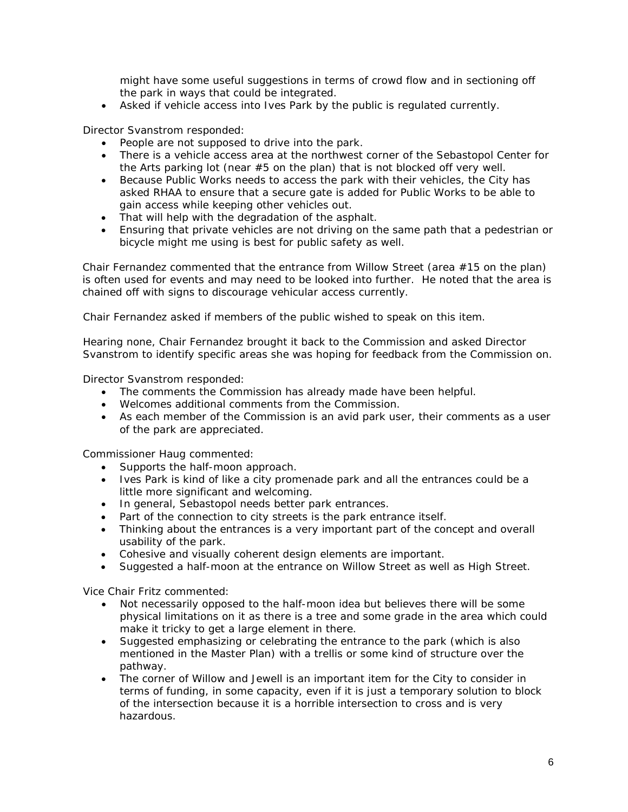might have some useful suggestions in terms of crowd flow and in sectioning off the park in ways that could be integrated.

• Asked if vehicle access into Ives Park by the public is regulated currently.

Director Svanstrom responded:

- People are not supposed to drive into the park.
- There is a vehicle access area at the northwest corner of the Sebastopol Center for the Arts parking lot (near #5 on the plan) that is not blocked off very well.
- Because Public Works needs to access the park with their vehicles, the City has asked RHAA to ensure that a secure gate is added for Public Works to be able to gain access while keeping other vehicles out.
- That will help with the degradation of the asphalt.
- Ensuring that private vehicles are not driving on the same path that a pedestrian or bicycle might me using is best for public safety as well.

Chair Fernandez commented that the entrance from Willow Street (area #15 on the plan) is often used for events and may need to be looked into further. He noted that the area is chained off with signs to discourage vehicular access currently.

Chair Fernandez asked if members of the public wished to speak on this item.

Hearing none, Chair Fernandez brought it back to the Commission and asked Director Svanstrom to identify specific areas she was hoping for feedback from the Commission on.

Director Svanstrom responded:

- The comments the Commission has already made have been helpful.
- Welcomes additional comments from the Commission.
- As each member of the Commission is an avid park user, their comments as a user of the park are appreciated.

Commissioner Haug commented:

- Supports the half-moon approach.
- Ives Park is kind of like a city promenade park and all the entrances could be a little more significant and welcoming.
- In general, Sebastopol needs better park entrances.
- Part of the connection to city streets is the park entrance itself.
- Thinking about the entrances is a very important part of the concept and overall usability of the park.
- Cohesive and visually coherent design elements are important.
- Suggested a half-moon at the entrance on Willow Street as well as High Street.

Vice Chair Fritz commented:

- Not necessarily opposed to the half-moon idea but believes there will be some physical limitations on it as there is a tree and some grade in the area which could make it tricky to get a large element in there.
- Suggested emphasizing or celebrating the entrance to the park (which is also mentioned in the Master Plan) with a trellis or some kind of structure over the pathway.
- The corner of Willow and Jewell is an important item for the City to consider in terms of funding, in some capacity, even if it is just a temporary solution to block of the intersection because it is a horrible intersection to cross and is very hazardous.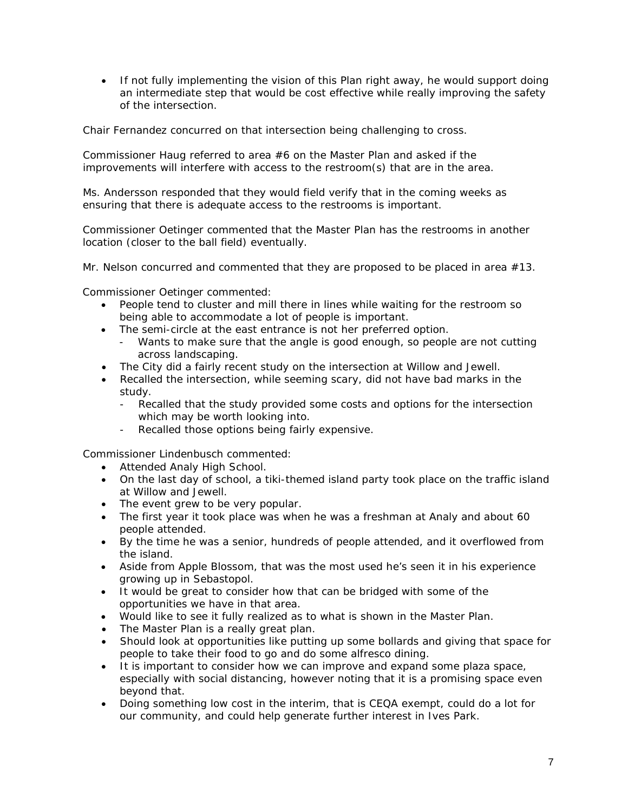• If not fully implementing the vision of this Plan right away, he would support doing an intermediate step that would be cost effective while really improving the safety of the intersection.

Chair Fernandez concurred on that intersection being challenging to cross.

Commissioner Haug referred to area #6 on the Master Plan and asked if the improvements will interfere with access to the restroom(s) that are in the area.

Ms. Andersson responded that they would field verify that in the coming weeks as ensuring that there is adequate access to the restrooms is important.

Commissioner Oetinger commented that the Master Plan has the restrooms in another location (closer to the ball field) eventually.

Mr. Nelson concurred and commented that they are proposed to be placed in area  $#13$ .

Commissioner Oetinger commented:

- People tend to cluster and mill there in lines while waiting for the restroom so being able to accommodate a lot of people is important.
- The semi-circle at the east entrance is not her preferred option.
	- Wants to make sure that the angle is good enough, so people are not cutting across landscaping.
- The City did a fairly recent study on the intersection at Willow and Jewell.
- Recalled the intersection, while seeming scary, did not have bad marks in the study.
	- Recalled that the study provided some costs and options for the intersection which may be worth looking into.
	- Recalled those options being fairly expensive.

Commissioner Lindenbusch commented:

- Attended Analy High School.
- On the last day of school, a tiki-themed island party took place on the traffic island at Willow and Jewell.
- The event grew to be very popular.
- The first year it took place was when he was a freshman at Analy and about 60 people attended.
- By the time he was a senior, hundreds of people attended, and it overflowed from the island.
- Aside from Apple Blossom, that was the most used he's seen it in his experience growing up in Sebastopol.
- It would be great to consider how that can be bridged with some of the opportunities we have in that area.
- Would like to see it fully realized as to what is shown in the Master Plan.
- The Master Plan is a really great plan.
- Should look at opportunities like putting up some bollards and giving that space for people to take their food to go and do some alfresco dining.
- It is important to consider how we can improve and expand some plaza space, especially with social distancing, however noting that it is a promising space even beyond that.
- Doing something low cost in the interim, that is CEQA exempt, could do a lot for our community, and could help generate further interest in Ives Park.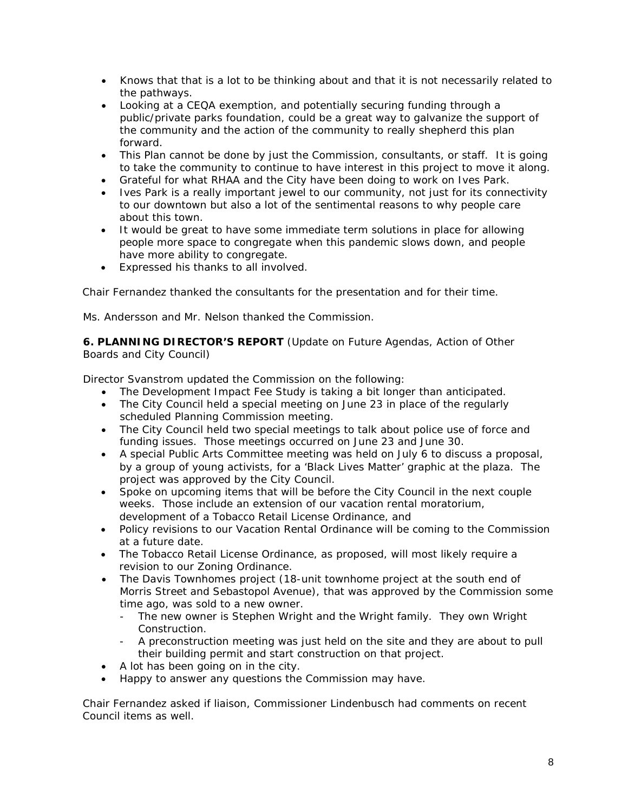- Knows that that is a lot to be thinking about and that it is not necessarily related to the pathways.
- Looking at a CEQA exemption, and potentially securing funding through a public/private parks foundation, could be a great way to galvanize the support of the community and the action of the community to really shepherd this plan forward.
- This Plan cannot be done by just the Commission, consultants, or staff. It is going to take the community to continue to have interest in this project to move it along.
- Grateful for what RHAA and the City have been doing to work on Ives Park.
- Ives Park is a really important jewel to our community, not just for its connectivity to our downtown but also a lot of the sentimental reasons to why people care about this town.
- It would be great to have some immediate term solutions in place for allowing people more space to congregate when this pandemic slows down, and people have more ability to congregate.
- Expressed his thanks to all involved.

Chair Fernandez thanked the consultants for the presentation and for their time.

Ms. Andersson and Mr. Nelson thanked the Commission.

**6. PLANNING DIRECTOR'S REPORT** (Update on Future Agendas, Action of Other Boards and City Council)

Director Svanstrom updated the Commission on the following:

- The Development Impact Fee Study is taking a bit longer than anticipated.
- The City Council held a special meeting on June 23 in place of the regularly scheduled Planning Commission meeting.
- The City Council held two special meetings to talk about police use of force and funding issues. Those meetings occurred on June 23 and June 30.
- A special Public Arts Committee meeting was held on July 6 to discuss a proposal, by a group of young activists, for a 'Black Lives Matter' graphic at the plaza. The project was approved by the City Council.
- Spoke on upcoming items that will be before the City Council in the next couple weeks. Those include an extension of our vacation rental moratorium, development of a Tobacco Retail License Ordinance, and
- Policy revisions to our Vacation Rental Ordinance will be coming to the Commission at a future date.
- The Tobacco Retail License Ordinance, as proposed, will most likely require a revision to our Zoning Ordinance.
- The Davis Townhomes project (18-unit townhome project at the south end of Morris Street and Sebastopol Avenue), that was approved by the Commission some time ago, was sold to a new owner.
	- The new owner is Stephen Wright and the Wright family. They own Wright Construction.
	- A preconstruction meeting was just held on the site and they are about to pull their building permit and start construction on that project.
- A lot has been going on in the city.
- Happy to answer any questions the Commission may have.

Chair Fernandez asked if liaison, Commissioner Lindenbusch had comments on recent Council items as well.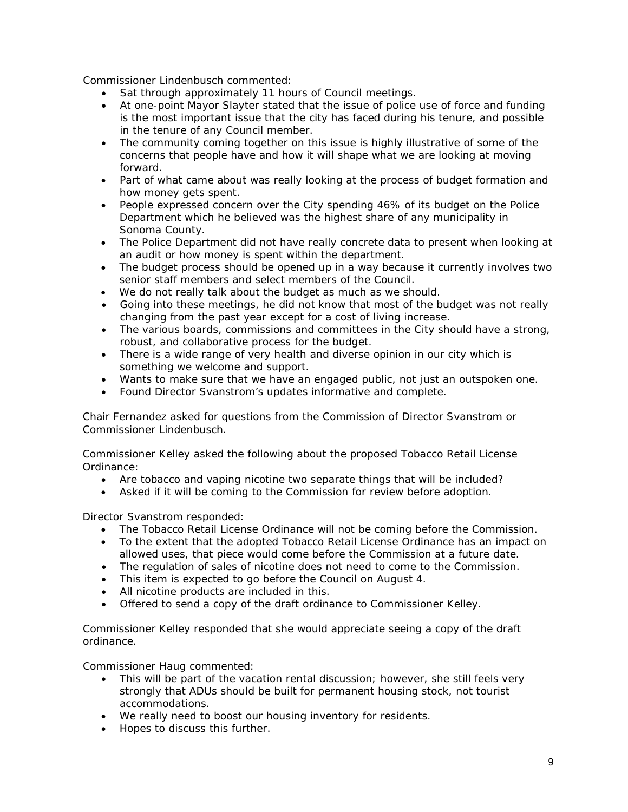Commissioner Lindenbusch commented:

- Sat through approximately 11 hours of Council meetings.
- At one-point Mayor Slayter stated that the issue of police use of force and funding is the most important issue that the city has faced during his tenure, and possible in the tenure of any Council member.
- The community coming together on this issue is highly illustrative of some of the concerns that people have and how it will shape what we are looking at moving forward.
- Part of what came about was really looking at the process of budget formation and how money gets spent.
- People expressed concern over the City spending 46% of its budget on the Police Department which he believed was the highest share of any municipality in Sonoma County.
- The Police Department did not have really concrete data to present when looking at an audit or how money is spent within the department.
- The budget process should be opened up in a way because it currently involves two senior staff members and select members of the Council.
- We do not really talk about the budget as much as we should.
- Going into these meetings, he did not know that most of the budget was not really changing from the past year except for a cost of living increase.
- The various boards, commissions and committees in the City should have a strong, robust, and collaborative process for the budget.
- There is a wide range of very health and diverse opinion in our city which is something we welcome and support.
- Wants to make sure that we have an engaged public, not just an outspoken one.
- Found Director Svanstrom's updates informative and complete.

Chair Fernandez asked for questions from the Commission of Director Svanstrom or Commissioner Lindenbusch.

Commissioner Kelley asked the following about the proposed Tobacco Retail License Ordinance:

- Are tobacco and vaping nicotine two separate things that will be included?
- Asked if it will be coming to the Commission for review before adoption.

Director Svanstrom responded:

- The Tobacco Retail License Ordinance will not be coming before the Commission.
- To the extent that the adopted Tobacco Retail License Ordinance has an impact on allowed uses, that piece would come before the Commission at a future date.
- The regulation of sales of nicotine does not need to come to the Commission.
- This item is expected to go before the Council on August 4.
- All nicotine products are included in this.
- Offered to send a copy of the draft ordinance to Commissioner Kelley.

Commissioner Kelley responded that she would appreciate seeing a copy of the draft ordinance.

Commissioner Haug commented:

- This will be part of the vacation rental discussion; however, she still feels very strongly that ADUs should be built for permanent housing stock, not tourist accommodations.
- We really need to boost our housing inventory for residents.
- Hopes to discuss this further.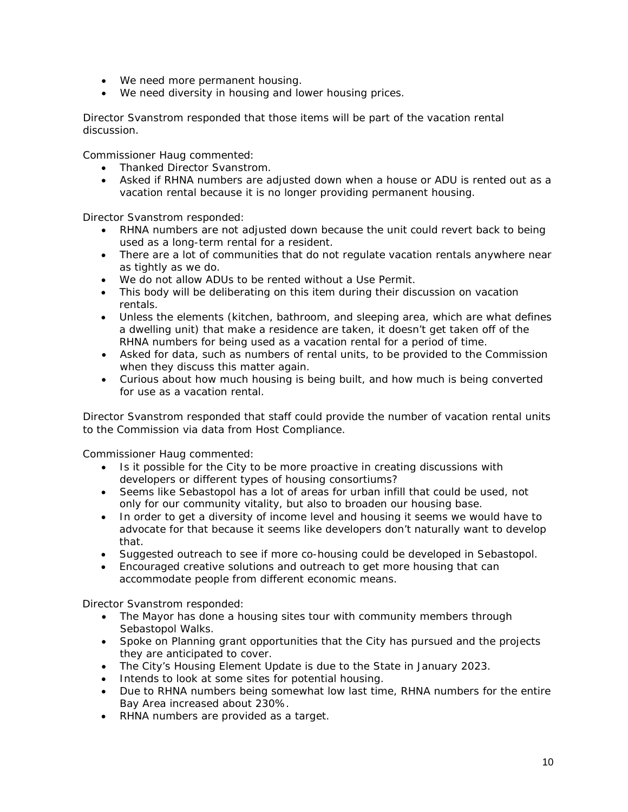- We need more permanent housing.
- We need diversity in housing and lower housing prices.

Director Svanstrom responded that those items will be part of the vacation rental discussion.

Commissioner Haug commented:

- Thanked Director Svanstrom.
- Asked if RHNA numbers are adjusted down when a house or ADU is rented out as a vacation rental because it is no longer providing permanent housing.

Director Svanstrom responded:

- RHNA numbers are not adjusted down because the unit could revert back to being used as a long-term rental for a resident.
- There are a lot of communities that do not regulate vacation rentals anywhere near as tightly as we do.
- We do not allow ADUs to be rented without a Use Permit.
- This body will be deliberating on this item during their discussion on vacation rentals.
- Unless the elements (kitchen, bathroom, and sleeping area, which are what defines a dwelling unit) that make a residence are taken, it doesn't get taken off of the RHNA numbers for being used as a vacation rental for a period of time.
- Asked for data, such as numbers of rental units, to be provided to the Commission when they discuss this matter again.
- Curious about how much housing is being built, and how much is being converted for use as a vacation rental.

Director Svanstrom responded that staff could provide the number of vacation rental units to the Commission via data from Host Compliance.

Commissioner Haug commented:

- Is it possible for the City to be more proactive in creating discussions with developers or different types of housing consortiums?
- Seems like Sebastopol has a lot of areas for urban infill that could be used, not only for our community vitality, but also to broaden our housing base.
- In order to get a diversity of income level and housing it seems we would have to advocate for that because it seems like developers don't naturally want to develop that.
- Suggested outreach to see if more co-housing could be developed in Sebastopol.
- Encouraged creative solutions and outreach to get more housing that can accommodate people from different economic means.

Director Svanstrom responded:

- The Mayor has done a housing sites tour with community members through Sebastopol Walks.
- Spoke on Planning grant opportunities that the City has pursued and the projects they are anticipated to cover.
- The City's Housing Element Update is due to the State in January 2023.
- Intends to look at some sites for potential housing.
- Due to RHNA numbers being somewhat low last time, RHNA numbers for the entire Bay Area increased about 230%.
- RHNA numbers are provided as a target.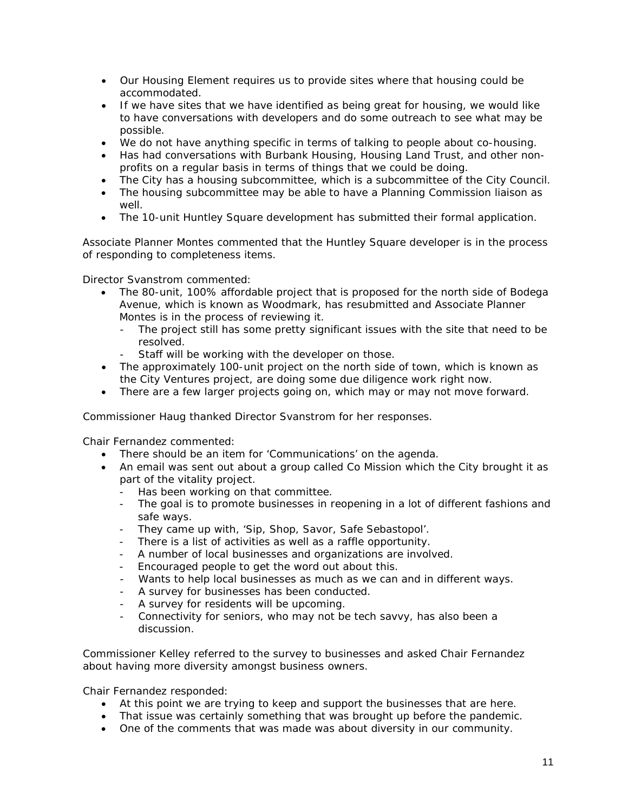- Our Housing Element requires us to provide sites where that housing could be accommodated.
- If we have sites that we have identified as being great for housing, we would like to have conversations with developers and do some outreach to see what may be possible.
- We do not have anything specific in terms of talking to people about co-housing.
- Has had conversations with Burbank Housing, Housing Land Trust, and other nonprofits on a regular basis in terms of things that we could be doing.
- The City has a housing subcommittee, which is a subcommittee of the City Council.
- The housing subcommittee may be able to have a Planning Commission liaison as well.
- The 10-unit Huntley Square development has submitted their formal application.

Associate Planner Montes commented that the Huntley Square developer is in the process of responding to completeness items.

Director Svanstrom commented:

- The 80-unit, 100% affordable project that is proposed for the north side of Bodega Avenue, which is known as Woodmark, has resubmitted and Associate Planner Montes is in the process of reviewing it.
	- The project still has some pretty significant issues with the site that need to be resolved.
	- Staff will be working with the developer on those.
- The approximately 100-unit project on the north side of town, which is known as the City Ventures project, are doing some due diligence work right now.
- There are a few larger projects going on, which may or may not move forward.

Commissioner Haug thanked Director Svanstrom for her responses.

Chair Fernandez commented:

- There should be an item for 'Communications' on the agenda.
- An email was sent out about a group called Co Mission which the City brought it as part of the vitality project.
	- Has been working on that committee.
	- The goal is to promote businesses in reopening in a lot of different fashions and safe ways.
	- They came up with, 'Sip, Shop, Savor, Safe Sebastopol'.
	- There is a list of activities as well as a raffle opportunity.
	- A number of local businesses and organizations are involved.
	- Encouraged people to get the word out about this.
	- Wants to help local businesses as much as we can and in different ways.
	- A survey for businesses has been conducted.
	- A survey for residents will be upcoming.
	- Connectivity for seniors, who may not be tech savvy, has also been a discussion.

Commissioner Kelley referred to the survey to businesses and asked Chair Fernandez about having more diversity amongst business owners.

Chair Fernandez responded:

- At this point we are trying to keep and support the businesses that are here.
- That issue was certainly something that was brought up before the pandemic.
- One of the comments that was made was about diversity in our community.